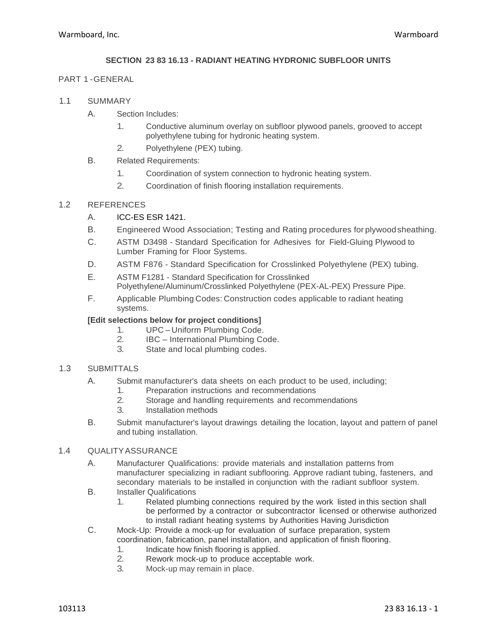### **SECTION 23 83 16.13 - RADIANT HEATING HYDRONIC SUBFLOOR UNITS**

#### PART 1 -GENERAL

- 1.1 SUMMARY
	- A. Section Includes:
		- 1. Conductive aluminum overlay on subfloor plywood panels, grooved to accept polyethylene tubing for hydronic heating system.
		- 2. Polyethylene (PEX) tubing.
	- B. Related Requirements:
		- 1. Coordination of system connection to hydronic heating system.
		- 2. Coordination of finish flooring installation requirements.

#### 1.2 REFERENCES

- A. ICC-ES ESR 1421.
- B. Engineered Wood Association; Testing and Rating procedures for plywoodsheathing.
- C. ASTM D3498 Standard Specification for Adhesives for Field-Gluing Plywood to Lumber Framing for Floor Systems.
- D. ASTM F876 Standard Specification for Crosslinked Polyethylene (PEX) tubing.
- E. ASTM F1281 Standard Specification for Crosslinked Polyethylene/Aluminum/Crosslinked Polyethylene (PEX-AL-PEX) Pressure Pipe.
- F. Applicable Plumbing Codes: Construction codes applicable to radiant heating systems.

#### **[Edit selections below for project conditions]**

- 1. UPC Uniform Plumbing Code.<br>2 BC International Plumbing Co
- 2. IBC International Plumbing Code.<br>3. State and local plumbing codes.
- State and local plumbing codes.

#### 1.3 SUBMITTALS

- A. Submit manufacturer's data sheets on each product to be used, including;
	- 1. Preparation instructions and recommendations<br>2. Storage and handling requirements and recomments
	- Storage and handling requirements and recommendations
	- 3. Installation methods
- B. Submit manufacturer's layout drawings detailing the location, layout and pattern of panel and tubing installation.

#### 1.4 QUALITYASSURANCE

- A. Manufacturer Qualifications: provide materials and installation patterns from manufacturer specializing in radiant subflooring. Approve radiant tubing, fasteners, and secondary materials to be installed in conjunction with the radiant subfloor system.
- B. Installer Qualifications
	- 1. Related plumbing connections required by the work listed in this section shall be performed by a contractor or subcontractor licensed or otherwise authorized to install radiant heating systems by Authorities Having Jurisdiction
- C. Mock-Up: Provide a mock-up for evaluation of surface preparation, system coordination, fabrication, panel installation, and application of finish flooring.
	- 1. Indicate how finish flooring is applied.
	- 2. Rework mock-up to produce acceptable work.
	- 3. Mock-up may remain in place.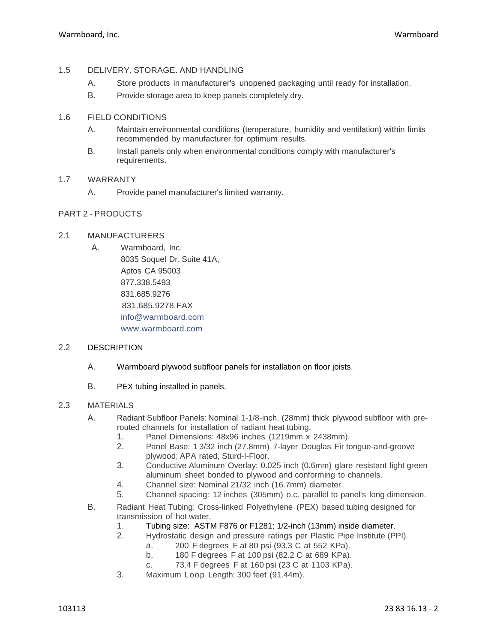# 1.5 DELIVERY, STORAGE. AND HANDLING

- A. Store products in manufacturer's unopened packaging until ready for installation.
- B. Provide storage area to keep panels completely dry.

# 1.6 FIELD CONDITIONS

- A. Maintain environmental conditions (temperature, humidity and ventilation) within limits recommended by manufacturer for optimum results.
- B. Install panels only when environmental conditions comply with manufacturer's requirements.

# 1.7 WARRANTY

A. Provide panel manufacturer's limited warranty.

# PART 2 - PRODUCTS

### 2.1 MANUFACTURERS

A. Warmboard, Inc. 8035 Soquel Dr. Suite 41A, Aptos CA 95003 877.338.5493 831.685.9276 831.685.9278 FAX [info@warmboard.com](mailto:info@warmboard.com) [www.warmboard.com](http://www.warmboard.com/)

### 2.2 DESCRIPTION

- A. Warmboard plywood subfloor panels for installation on floor joists.
- B. PEX tubing installed in panels.

### 2.3 MATERIALS

- A. Radiant Subfloor Panels: Nominal 1-1/8-inch, (28mm) thick plywood subfloor with prerouted channels for installation of radiant heat tubing.
	- 1. Panel Dimensions: 48x96 inches (1219mm x 2438mm).
	- 2. Panel Base: 1 3/32 inch (27.8mm) 7-layer Douglas Fir tongue-and-groove plywood; APA rated, Sturd-I-Floor.
	- 3. Conductive Aluminum Overlay: 0.025 inch (0.6mm) glare resistant light green aluminum sheet bonded to plywood and conforming to channels.
	- 4. Channel size: Nominal 21/32 inch (16.7mm) diameter.
	- 5. Channel spacing: 12 inches (305mm) o.c. parallel to panel's long dimension.
- B. Radiant Heat Tubing: Cross-linked Polyethylene (PEX) based tubing designed for transmission of hot water.
	- 1. Tubing size: ASTM F876 or F1281; 1/2-inch (13mm) inside diameter.<br>2. Hydrostatic design and pressure ratings per Plastic Pipe Institute (Pl
	- 2. Hydrostatic design and pressure ratings per Plastic Pipe Institute (PPI).
		- a. 200 F degrees F at 80 psi (93.3 C at 552 KPa).
			- b. 180 F degrees F at 100 psi (82.2 C at 689 KPa).
			- c. 73.4 F degrees F at 160 psi (23 C at 1103 KPa).
	- 3. Maximum Loop Length: 300 feet (91.44m).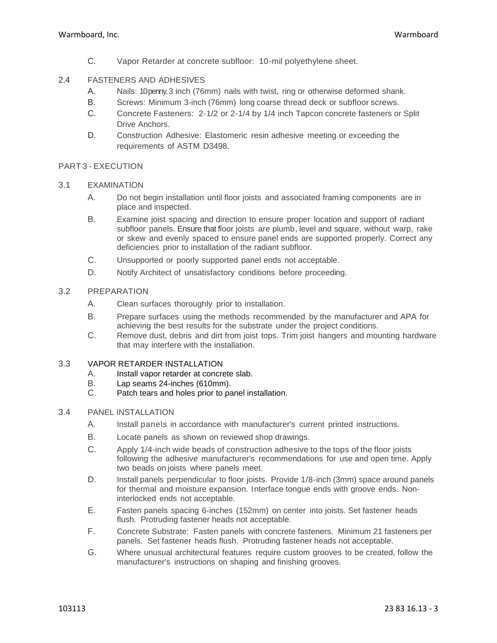C. Vapor Retarder at concrete subfloor: 10-mil polyethylene sheet.

# 2.4 FASTENERS AND ADHESIVES

- A. Nails: 10 penny, 3 inch (76mm) nails with twist, ring or otherwise deformed shank.
- B. Screws: Minimum 3-inch (76mm) long coarse thread deck or subfloor screws.
- C. Concrete Fasteners: 2-1/2 or 2-1/4 by 1/4 inch Tapcon concrete fasteners or Split Drive Anchors.
- D. Construction Adhesive: Elastomeric resin adhesive meeting or exceeding the requirements of ASTM D3498.

# PART 3 - EXECUTION

### 3.1 EXAMINATION

- A. Do not begin installation until floor joists and associated framing components are in place and inspected.
- B. Examine joist spacing and direction to ensure proper location and support of radiant subfloor panels. Ensure that floor joists are plumb, level and square, without warp, rake or skew and evenly spaced to ensure panel ends are supported properly. Correct any deficiencies prior to installation of the radiant subfloor.
- C. Unsupported or poorly supported panel ends not acceptable.
- D. Notify Architect of unsatisfactory conditions before proceeding.

# 3.2 PREPARATION

- A. Clean surfaces thoroughly prior to installation.
- B. Prepare surfaces using the methods recommended by the manufacturer and APA for achieving the best results for the substrate under the project conditions.
- C. Remove dust, debris and dirt from joist tops. Trim joist hangers and mounting hardware that may interfere with the installation.

### 3.3 VAPOR RETARDER INSTALLATION

- A. Install vapor retarder at concrete slab.
- B. Lap seams 24-inches (610mm).
- C. Patch tears and holes prior to panel installation.

# 3.4 PANEL INSTALLATION

- A. Install panels in accordance with manufacturer's current printed instructions.
- B. Locate panels as shown on reviewed shop drawings.
- C. Apply 1/4-inch wide beads of construction adhesive to the tops of the floor joists following the adhesive manufacturer's recommendations for use and open time. Apply two beads on joists where panels meet.
- D. Install panels perpendicular to floor joists. Provide 1/8-inch (3mm) space around panels for thermal and moisture expansion. Interface tongue ends with groove ends. Noninterlocked ends not acceptable.
- E. Fasten panels spacing 6-inches (152mm) on center into joists. Set fastener heads flush. Protruding fastener heads not acceptable.
- F. Concrete Substrate: Fasten panels with concrete fasteners. Minimum 21 fasteners per panels. Set fastener heads flush. Protruding fastener heads not acceptable.
- G. Where unusual architectural features require custom grooves to be created, follow the manufacturer's instructions on shaping and finishing grooves.